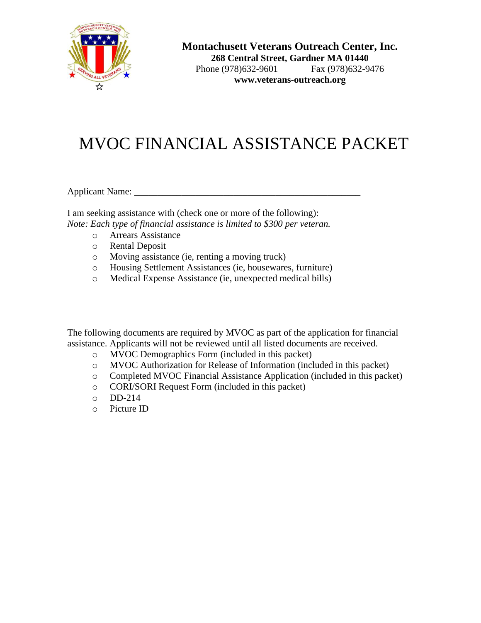

**Montachusett Veterans Outreach Center, Inc.**

**268 Central Street, Gardner MA 01440** Phone (978)632-9601 Fax (978)632-9476 **www.veterans-outreach.org**

# MVOC FINANCIAL ASSISTANCE PACKET

Applicant Name: \_\_\_\_\_\_\_\_\_\_\_\_\_\_\_\_\_\_\_\_\_\_\_\_\_\_\_\_\_\_\_\_\_\_\_\_\_\_\_\_\_\_\_\_\_\_\_\_

I am seeking assistance with (check one or more of the following): *Note: Each type of financial assistance is limited to \$300 per veteran.*

- o Arrears Assistance
- o Rental Deposit
- o Moving assistance (ie, renting a moving truck)
- o Housing Settlement Assistances (ie, housewares, furniture)
- o Medical Expense Assistance (ie, unexpected medical bills)

The following documents are required by MVOC as part of the application for financial assistance. Applicants will not be reviewed until all listed documents are received.

- o MVOC Demographics Form (included in this packet)
- o MVOC Authorization for Release of Information (included in this packet)
- o Completed MVOC Financial Assistance Application (included in this packet)
- o CORI/SORI Request Form (included in this packet)
- o DD-214
- o Picture ID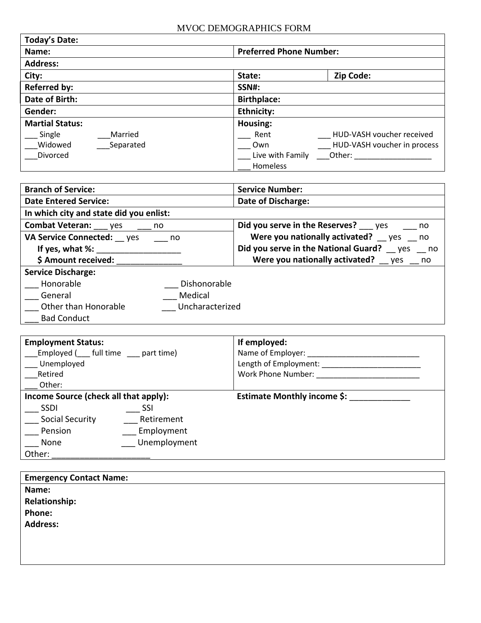| <b>Today's Date:</b>   |                                    |
|------------------------|------------------------------------|
| Name:                  | <b>Preferred Phone Number:</b>     |
| <b>Address:</b>        |                                    |
| City:                  | Zip Code:<br>State:                |
| <b>Referred by:</b>    | <b>SSN#:</b>                       |
| Date of Birth:         | <b>Birthplace:</b>                 |
| Gender:                | <b>Ethnicity:</b>                  |
| <b>Martial Status:</b> | Housing:                           |
| Married<br>Single      | HUD-VASH voucher received<br>Rent  |
| Widowed<br>Separated   | HUD-VASH voucher in process<br>Own |
| Divorced               | Live with Family<br>Other:         |
|                        | <b>Homeless</b>                    |

| <b>Branch of Service:</b>               | <b>Service Number:</b>                      |
|-----------------------------------------|---------------------------------------------|
| <b>Date Entered Service:</b>            | Date of Discharge:                          |
| In which city and state did you enlist: |                                             |
| <b>Combat Veteran:</b> yes<br>no no     | Did you serve in the Reserves? yes<br>no    |
| VA Service Connected: yes<br>no no      | Were you nationally activated? yes no       |
| If yes, what %:                         | Did you serve in the National Guard? yes no |
| \$ Amount received:                     | Were you nationally activated? yes no       |
| <b>Service Discharge:</b>               |                                             |
| Honorable<br>Dishonorable               |                                             |
| Medical<br>General                      |                                             |
| Other than Honorable<br>Uncharacterized |                                             |
| <b>Bad Conduct</b>                      |                                             |

| <b>Employment Status:</b><br>Employed (full time part time)<br>Unemployed<br>Retired |              | If employed:<br>Name of Employer:<br>Length of Employment:<br>Work Phone Number: |
|--------------------------------------------------------------------------------------|--------------|----------------------------------------------------------------------------------|
| Other:                                                                               |              |                                                                                  |
| Income Source (check all that apply):                                                |              | <b>Estimate Monthly income \$:</b>                                               |
| <b>SSDI</b>                                                                          | SSI          |                                                                                  |
| Social Security                                                                      | Retirement   |                                                                                  |
| Pension                                                                              | Employment   |                                                                                  |
| None                                                                                 | Unemployment |                                                                                  |
| Other:                                                                               |              |                                                                                  |

| <b>Emergency Contact Name:</b> |  |
|--------------------------------|--|
| Name:                          |  |
| <b>Relationship:</b>           |  |
| Phone:                         |  |
| <b>Address:</b>                |  |
|                                |  |
|                                |  |
|                                |  |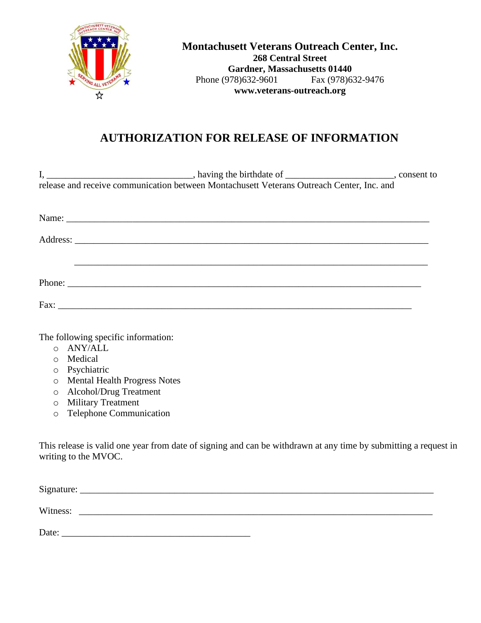

**Montachusett Veterans Outreach Center, Inc. 268 Central Street Gardner, Massachusetts 01440** Phone (978)632-9601 Fax (978)632-9476 **www.veterans-outreach.org**

# **AUTHORIZATION FOR RELEASE OF INFORMATION**

| release and receive communication between Montachusett Veterans Outreach Center, Inc. and |  |
|-------------------------------------------------------------------------------------------|--|
|                                                                                           |  |
|                                                                                           |  |
|                                                                                           |  |
|                                                                                           |  |
|                                                                                           |  |
|                                                                                           |  |
|                                                                                           |  |

The following specific information:

- o ANY/ALL
- o Medical
- o Psychiatric
- o Mental Health Progress Notes
- o Alcohol/Drug Treatment
- o Military Treatment
- o Telephone Communication

This release is valid one year from date of signing and can be withdrawn at any time by submitting a request in writing to the MVOC.

| Signature: |  |  |  |
|------------|--|--|--|
| Witness:   |  |  |  |

Date: \_\_\_\_\_\_\_\_\_\_\_\_\_\_\_\_\_\_\_\_\_\_\_\_\_\_\_\_\_\_\_\_\_\_\_\_\_\_\_\_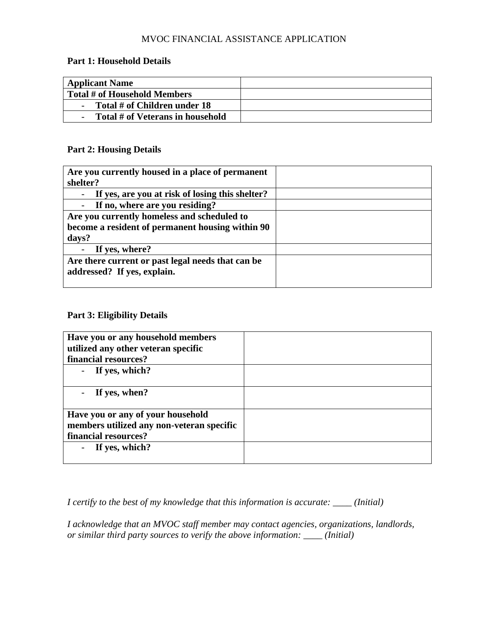# MVOC FINANCIAL ASSISTANCE APPLICATION

#### **Part 1: Household Details**

| <b>Applicant Name</b>            |  |
|----------------------------------|--|
| Total # of Household Members     |  |
| Total # of Children under 18     |  |
| Total # of Veterans in household |  |

## **Part 2: Housing Details**

| Are you currently housed in a place of permanent  |  |
|---------------------------------------------------|--|
| shelter?                                          |  |
| If yes, are you at risk of losing this shelter?   |  |
| If no, where are you residing?                    |  |
| Are you currently homeless and scheduled to       |  |
| become a resident of permanent housing within 90  |  |
| days?                                             |  |
| If yes, where?                                    |  |
| Are there current or past legal needs that can be |  |
| addressed? If yes, explain.                       |  |
|                                                   |  |

## **Part 3: Eligibility Details**

| Have you or any household members         |  |
|-------------------------------------------|--|
| utilized any other veteran specific       |  |
| financial resources?                      |  |
| If yes, which?                            |  |
|                                           |  |
| If yes, when?                             |  |
|                                           |  |
| Have you or any of your household         |  |
| members utilized any non-veteran specific |  |
| financial resources?                      |  |
| If yes, which?                            |  |
|                                           |  |

*I certify to the best of my knowledge that this information is accurate: \_\_\_\_ (Initial)*

*I acknowledge that an MVOC staff member may contact agencies, organizations, landlords, or similar third party sources to verify the above information: \_\_\_\_ (Initial)*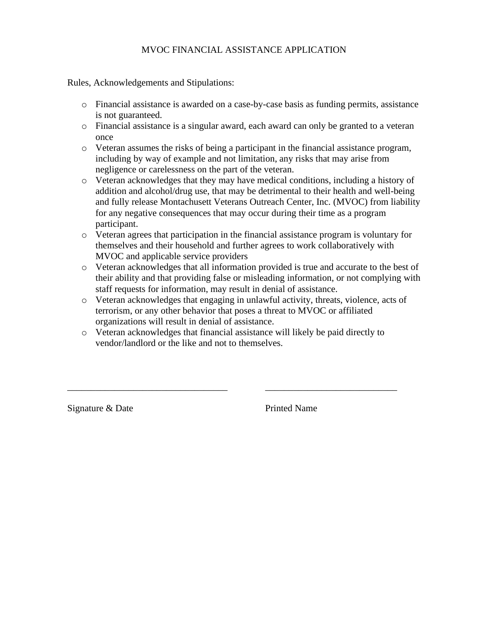# MVOC FINANCIAL ASSISTANCE APPLICATION

Rules, Acknowledgements and Stipulations:

- o Financial assistance is awarded on a case-by-case basis as funding permits, assistance is not guaranteed.
- o Financial assistance is a singular award, each award can only be granted to a veteran once
- o Veteran assumes the risks of being a participant in the financial assistance program, including by way of example and not limitation, any risks that may arise from negligence or carelessness on the part of the veteran.
- o Veteran acknowledges that they may have medical conditions, including a history of addition and alcohol/drug use, that may be detrimental to their health and well-being and fully release Montachusett Veterans Outreach Center, Inc. (MVOC) from liability for any negative consequences that may occur during their time as a program participant.
- o Veteran agrees that participation in the financial assistance program is voluntary for themselves and their household and further agrees to work collaboratively with MVOC and applicable service providers
- o Veteran acknowledges that all information provided is true and accurate to the best of their ability and that providing false or misleading information, or not complying with staff requests for information, may result in denial of assistance.
- o Veteran acknowledges that engaging in unlawful activity, threats, violence, acts of terrorism, or any other behavior that poses a threat to MVOC or affiliated organizations will result in denial of assistance.
- o Veteran acknowledges that financial assistance will likely be paid directly to vendor/landlord or the like and not to themselves.

\_\_\_\_\_\_\_\_\_\_\_\_\_\_\_\_\_\_\_\_\_\_\_\_\_\_\_\_\_\_\_\_\_\_ \_\_\_\_\_\_\_\_\_\_\_\_\_\_\_\_\_\_\_\_\_\_\_\_\_\_\_\_

Signature & Date **Printed Name**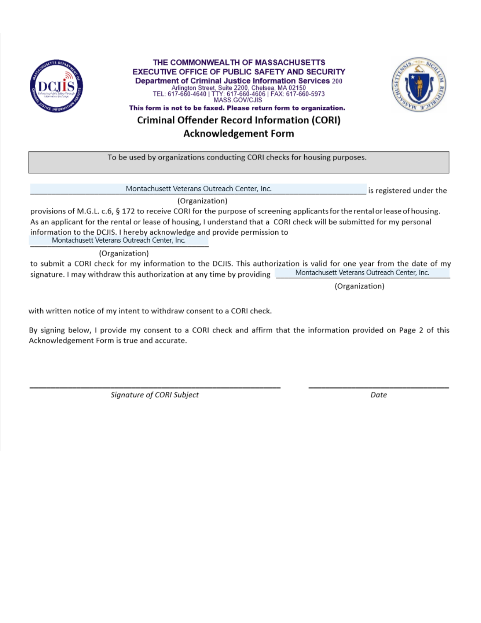

THE COMMONWEALTH OF MASSACHUSETTS **EXECUTIVE OFFICE OF PUBLIC SAFETY AND SECURITY Department of Criminal Justice Information Services 200** 200, Chelsea, MA 02150<br>TEL: 617-660-4640 | TTY: 617-660-4640 | TTY: 617-660-4640 | TTY: 617-660-4606 | FAX: 617-660-5973 MASS.GOV/CJIS This form is not to be faxed. Please return form to organization.



**Criminal Offender Record Information (CORI)** 

**Acknowledgement Form** 

To be used by organizations conducting CORI checks for housing purposes.

Montachusett Veterans Outreach Center, Inc.

is registered under the

(Organization)

provisions of M.G.L. c.6, § 172 to receive CORI for the purpose of screening applicants for the rental or lease of housing. As an applicant for the rental or lease of housing, I understand that a CORI check will be submitted for my personal information to the DCJIS. I hereby acknowledge and provide permission to Montachusett Veterans Outreach Center, Inc.

(Organization)

to submit a CORI check for my information to the DCJIS. This authorization is valid for one year from the date of my Montachusett Veterans Outreach Center, Inc. signature. I may withdraw this authorization at any time by providing

(Organization)

with written notice of my intent to withdraw consent to a CORI check.

By signing below, I provide my consent to a CORI check and affirm that the information provided on Page 2 of this Acknowledgement Form is true and accurate.

Signature of CORI Subject

Date